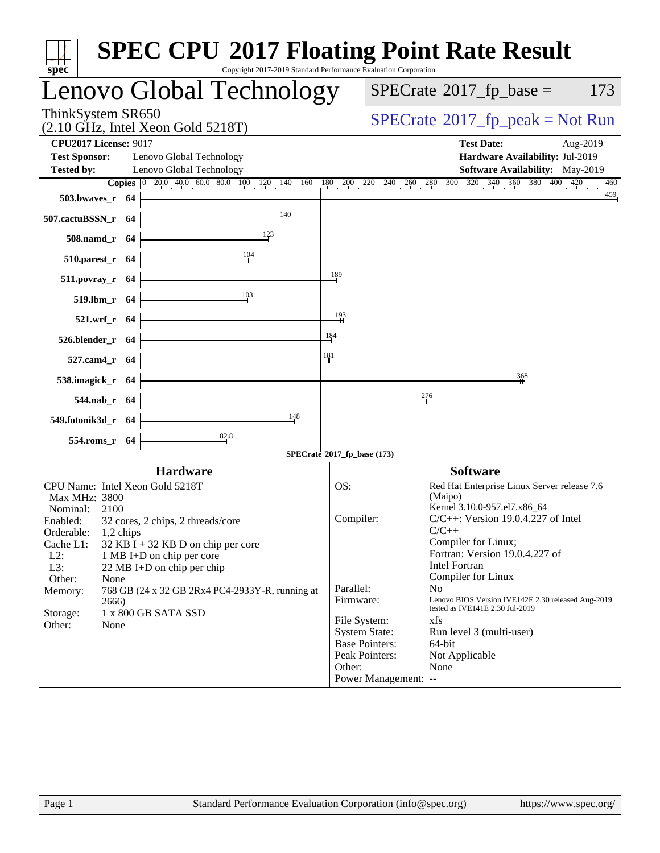| $spec^*$                                                                                                                                                                                                                                                                                                                                                                                                                                           | <b>SPEC CPU®2017 Floating Point Rate Result</b><br>Copyright 2017-2019 Standard Performance Evaluation Corporation                                                                                                                                                                                                                                                                                                                                                                                                                                                                                             |
|----------------------------------------------------------------------------------------------------------------------------------------------------------------------------------------------------------------------------------------------------------------------------------------------------------------------------------------------------------------------------------------------------------------------------------------------------|----------------------------------------------------------------------------------------------------------------------------------------------------------------------------------------------------------------------------------------------------------------------------------------------------------------------------------------------------------------------------------------------------------------------------------------------------------------------------------------------------------------------------------------------------------------------------------------------------------------|
| Lenovo Global Technology                                                                                                                                                                                                                                                                                                                                                                                                                           | $SPECrate^{\circledast}2017$ _fp_base =<br>173                                                                                                                                                                                                                                                                                                                                                                                                                                                                                                                                                                 |
| ThinkSystem SR650<br>$(2.10 \text{ GHz}, \text{Intel Xeon Gold } 5218 \text{T})$                                                                                                                                                                                                                                                                                                                                                                   | $SPECrate^{\circ}2017rfp peak = Not Run$                                                                                                                                                                                                                                                                                                                                                                                                                                                                                                                                                                       |
| <b>CPU2017 License: 9017</b><br><b>Test Sponsor:</b><br>Lenovo Global Technology<br><b>Tested by:</b><br>Lenovo Global Technology                                                                                                                                                                                                                                                                                                                  | <b>Test Date:</b><br>Aug-2019<br>Hardware Availability: Jul-2019<br>Software Availability: May-2019<br>460                                                                                                                                                                                                                                                                                                                                                                                                                                                                                                     |
| 503.bwayes r 64<br>140<br>507.cactuBSSN_r 64<br>508.namd_r 64                                                                                                                                                                                                                                                                                                                                                                                      | <b>Copies</b> $\begin{bmatrix} 0 & 20.0 & 40.0 & 60.0 & 80.0 & 100 & 120 & 140 & 160 & 180 & 200 & 220 & 240 & 260 & 280 & 300 & 320 & 340 & 360 & 380 & 400 & 420 \end{bmatrix}$<br>459                                                                                                                                                                                                                                                                                                                                                                                                                       |
| 104<br>510.parest_r 64<br>511.povray_r 64<br>10 <sup>3</sup><br>519.lbm_r 64                                                                                                                                                                                                                                                                                                                                                                       | 189                                                                                                                                                                                                                                                                                                                                                                                                                                                                                                                                                                                                            |
| 521.wrf_r 64<br>526.blender_r 64<br>527.cam4_r 64                                                                                                                                                                                                                                                                                                                                                                                                  | $\frac{193}{1}$<br>184<br>181                                                                                                                                                                                                                                                                                                                                                                                                                                                                                                                                                                                  |
| 538.imagick_r 64<br>544.nab_r 64<br>148<br>549.fotonik3d_r 64                                                                                                                                                                                                                                                                                                                                                                                      | 368<br>276                                                                                                                                                                                                                                                                                                                                                                                                                                                                                                                                                                                                     |
| $\frac{82.8}{4}$<br>554.roms_r 64                                                                                                                                                                                                                                                                                                                                                                                                                  | SPECrate®2017_fp_base (173)                                                                                                                                                                                                                                                                                                                                                                                                                                                                                                                                                                                    |
| <b>Hardware</b><br>CPU Name: Intel Xeon Gold 5218T<br>Max MHz: 3800<br>Nominal:<br>2100<br>32 cores, 2 chips, 2 threads/core<br>Enabled:<br>Orderable:<br>1,2 chips<br>Cache L1:<br>$32$ KB I + 32 KB D on chip per core<br>$L2$ :<br>1 MB I+D on chip per core<br>L3:<br>22 MB I+D on chip per chip<br>Other:<br>None<br>Memory:<br>768 GB (24 x 32 GB 2Rx4 PC4-2933Y-R, running at<br>2666)<br>1 x 800 GB SATA SSD<br>Storage:<br>Other:<br>None | <b>Software</b><br>OS:<br>Red Hat Enterprise Linux Server release 7.6<br>(Maipo)<br>Kernel 3.10.0-957.el7.x86_64<br>$C/C++$ : Version 19.0.4.227 of Intel<br>Compiler:<br>$C/C++$<br>Compiler for Linux;<br>Fortran: Version 19.0.4.227 of<br><b>Intel Fortran</b><br>Compiler for Linux<br>Parallel:<br>No.<br>Lenovo BIOS Version IVE142E 2.30 released Aug-2019<br>Firmware:<br>tested as IVE141E 2.30 Jul-2019<br>File System:<br>xfs<br><b>System State:</b><br>Run level 3 (multi-user)<br><b>Base Pointers:</b><br>64-bit<br>Peak Pointers:<br>Not Applicable<br>Other:<br>None<br>Power Management: -- |
|                                                                                                                                                                                                                                                                                                                                                                                                                                                    |                                                                                                                                                                                                                                                                                                                                                                                                                                                                                                                                                                                                                |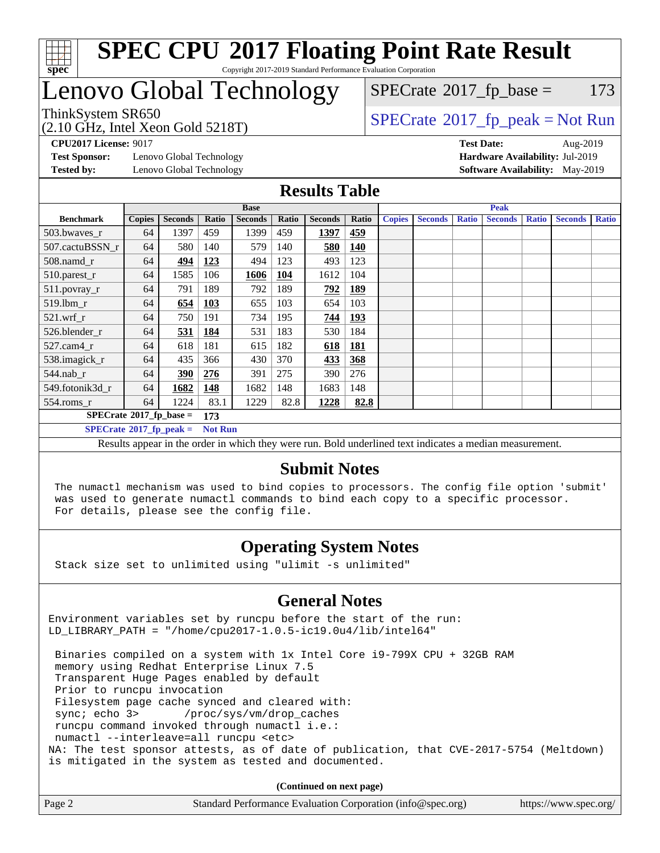

# Lenovo Global Technology

 $SPECTate$ <sup>®</sup>[2017\\_fp\\_base =](http://www.spec.org/auto/cpu2017/Docs/result-fields.html#SPECrate2017fpbase) 173

(2.10 GHz, Intel Xeon Gold 5218T)

 $SPECTate@2017_fp\_peak = Not Run$ 

**[Test Sponsor:](http://www.spec.org/auto/cpu2017/Docs/result-fields.html#TestSponsor)** Lenovo Global Technology **[Hardware Availability:](http://www.spec.org/auto/cpu2017/Docs/result-fields.html#HardwareAvailability)** Jul-2019 **[Tested by:](http://www.spec.org/auto/cpu2017/Docs/result-fields.html#Testedby)** Lenovo Global Technology **[Software Availability:](http://www.spec.org/auto/cpu2017/Docs/result-fields.html#SoftwareAvailability)** May-2019

**[CPU2017 License:](http://www.spec.org/auto/cpu2017/Docs/result-fields.html#CPU2017License)** 9017 **[Test Date:](http://www.spec.org/auto/cpu2017/Docs/result-fields.html#TestDate)** Aug-2019

## **[Results Table](http://www.spec.org/auto/cpu2017/Docs/result-fields.html#ResultsTable)**

|                                        | <b>Base</b>   |                |                |                |            | <b>Peak</b>    |            |               |                |              |                |              |                |              |
|----------------------------------------|---------------|----------------|----------------|----------------|------------|----------------|------------|---------------|----------------|--------------|----------------|--------------|----------------|--------------|
| <b>Benchmark</b>                       | <b>Copies</b> | <b>Seconds</b> | Ratio          | <b>Seconds</b> | Ratio      | <b>Seconds</b> | Ratio      | <b>Copies</b> | <b>Seconds</b> | <b>Ratio</b> | <b>Seconds</b> | <b>Ratio</b> | <b>Seconds</b> | <b>Ratio</b> |
| 503.bwayes r                           | 64            | 1397           | 459            | 1399           | 459        | 1397           | 459        |               |                |              |                |              |                |              |
| 507.cactuBSSN r                        | 64            | 580            | 140            | 579            | 140        | 580            | 140        |               |                |              |                |              |                |              |
| 508.namd_r                             | 64            | 494            | <u>123</u>     | 494            | 123        | 493            | 123        |               |                |              |                |              |                |              |
| 510.parest_r                           | 64            | 1585           | 106            | 1606           | <b>104</b> | 1612           | 104        |               |                |              |                |              |                |              |
| 511.povray_r                           | 64            | 791            | 189            | 792            | 189        | 792            | <b>189</b> |               |                |              |                |              |                |              |
| 519.lbm r                              | 64            | 654            | <b>103</b>     | 655            | 103        | 654            | 103        |               |                |              |                |              |                |              |
| $521.wrf$ r                            | 64            | 750            | 191            | 734            | 195        | 744            | <b>193</b> |               |                |              |                |              |                |              |
| 526.blender r                          | 64            | 531            | 184            | 531            | 183        | 530            | 184        |               |                |              |                |              |                |              |
| $527$ .cam $4r$                        | 64            | 618            | 181            | 615            | 182        | 618            | 181        |               |                |              |                |              |                |              |
| 538.imagick_r                          | 64            | 435            | 366            | 430            | 370        | 433            | 368        |               |                |              |                |              |                |              |
| $544$ .nab_r                           | 64            | 390            | 276            | 391            | 275        | 390            | 276        |               |                |              |                |              |                |              |
| 549.fotonik3d r                        | 64            | 1682           | 148            | 1682           | 148        | 1683           | 148        |               |                |              |                |              |                |              |
| $554$ .roms_r                          | 64            | 1224           | 83.1           | 1229           | 82.8       | 1228           | 82.8       |               |                |              |                |              |                |              |
| $SPECrate$ <sup>®</sup> 2017_fp_base = |               |                | 173            |                |            |                |            |               |                |              |                |              |                |              |
| $SPECrate^{\circ}2017$ _fp_peak =      |               |                | <b>Not Run</b> |                |            |                |            |               |                |              |                |              |                |              |

Results appear in the [order in which they were run.](http://www.spec.org/auto/cpu2017/Docs/result-fields.html#RunOrder) Bold underlined text [indicates a median measurement.](http://www.spec.org/auto/cpu2017/Docs/result-fields.html#Median)

#### **[Submit Notes](http://www.spec.org/auto/cpu2017/Docs/result-fields.html#SubmitNotes)**

 The numactl mechanism was used to bind copies to processors. The config file option 'submit' was used to generate numactl commands to bind each copy to a specific processor. For details, please see the config file.

## **[Operating System Notes](http://www.spec.org/auto/cpu2017/Docs/result-fields.html#OperatingSystemNotes)**

Stack size set to unlimited using "ulimit -s unlimited"

## **[General Notes](http://www.spec.org/auto/cpu2017/Docs/result-fields.html#GeneralNotes)**

Environment variables set by runcpu before the start of the run: LD\_LIBRARY\_PATH = "/home/cpu2017-1.0.5-ic19.0u4/lib/intel64"

 Binaries compiled on a system with 1x Intel Core i9-799X CPU + 32GB RAM memory using Redhat Enterprise Linux 7.5 Transparent Huge Pages enabled by default Prior to runcpu invocation Filesystem page cache synced and cleared with: sync; echo 3> /proc/sys/vm/drop\_caches runcpu command invoked through numactl i.e.: numactl --interleave=all runcpu <etc> NA: The test sponsor attests, as of date of publication, that CVE-2017-5754 (Meltdown) is mitigated in the system as tested and documented.

**(Continued on next page)**

| Page 2 | Standard Performance Evaluation Corporation (info@spec.org) | https://www.spec.org/ |
|--------|-------------------------------------------------------------|-----------------------|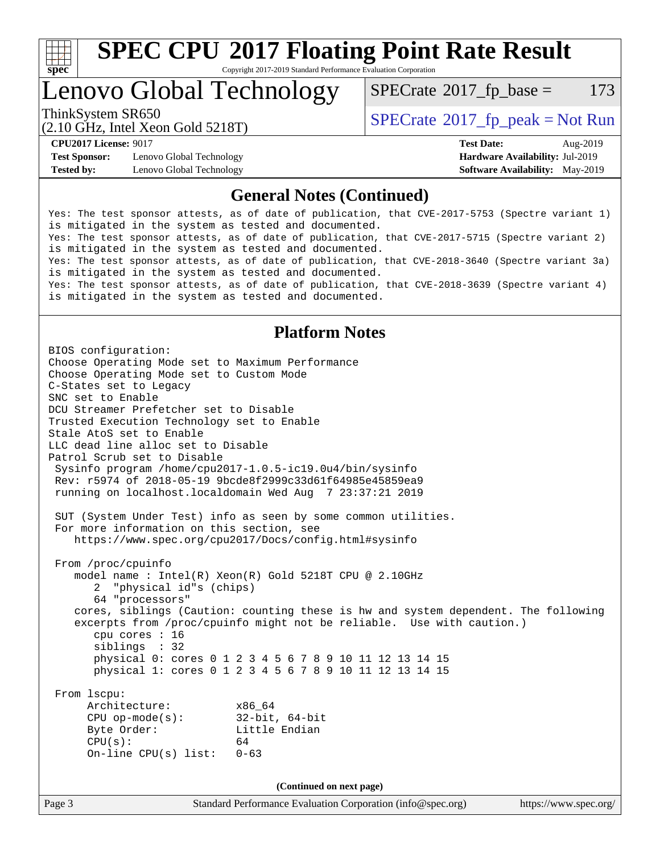

# **[SPEC CPU](http://www.spec.org/auto/cpu2017/Docs/result-fields.html#SPECCPU2017FloatingPointRateResult)[2017 Floating Point Rate Result](http://www.spec.org/auto/cpu2017/Docs/result-fields.html#SPECCPU2017FloatingPointRateResult)**

Copyright 2017-2019 Standard Performance Evaluation Corporation

## Lenovo Global Technology

 $SPECTate$ <sup>®</sup>[2017\\_fp\\_base =](http://www.spec.org/auto/cpu2017/Docs/result-fields.html#SPECrate2017fpbase) 173

(2.10 GHz, Intel Xeon Gold 5218T)

ThinkSystem SR650<br>  $SPECTR_{12}$  [SPECrate](http://www.spec.org/auto/cpu2017/Docs/result-fields.html#SPECrate2017fppeak)®[2017\\_fp\\_peak = N](http://www.spec.org/auto/cpu2017/Docs/result-fields.html#SPECrate2017fppeak)ot Run

**[Test Sponsor:](http://www.spec.org/auto/cpu2017/Docs/result-fields.html#TestSponsor)** Lenovo Global Technology **[Hardware Availability:](http://www.spec.org/auto/cpu2017/Docs/result-fields.html#HardwareAvailability)** Jul-2019 **[Tested by:](http://www.spec.org/auto/cpu2017/Docs/result-fields.html#Testedby)** Lenovo Global Technology **[Software Availability:](http://www.spec.org/auto/cpu2017/Docs/result-fields.html#SoftwareAvailability)** May-2019

**[CPU2017 License:](http://www.spec.org/auto/cpu2017/Docs/result-fields.html#CPU2017License)** 9017 **[Test Date:](http://www.spec.org/auto/cpu2017/Docs/result-fields.html#TestDate)** Aug-2019

## **[General Notes \(Continued\)](http://www.spec.org/auto/cpu2017/Docs/result-fields.html#GeneralNotes)**

Yes: The test sponsor attests, as of date of publication, that CVE-2017-5753 (Spectre variant 1) is mitigated in the system as tested and documented. Yes: The test sponsor attests, as of date of publication, that CVE-2017-5715 (Spectre variant 2) is mitigated in the system as tested and documented. Yes: The test sponsor attests, as of date of publication, that CVE-2018-3640 (Spectre variant 3a) is mitigated in the system as tested and documented. Yes: The test sponsor attests, as of date of publication, that CVE-2018-3639 (Spectre variant 4) is mitigated in the system as tested and documented.

## **[Platform Notes](http://www.spec.org/auto/cpu2017/Docs/result-fields.html#PlatformNotes)**

Page 3 Standard Performance Evaluation Corporation [\(info@spec.org\)](mailto:info@spec.org) <https://www.spec.org/> BIOS configuration: Choose Operating Mode set to Maximum Performance Choose Operating Mode set to Custom Mode C-States set to Legacy SNC set to Enable DCU Streamer Prefetcher set to Disable Trusted Execution Technology set to Enable Stale AtoS set to Enable LLC dead line alloc set to Disable Patrol Scrub set to Disable Sysinfo program /home/cpu2017-1.0.5-ic19.0u4/bin/sysinfo Rev: r5974 of 2018-05-19 9bcde8f2999c33d61f64985e45859ea9 running on localhost.localdomain Wed Aug 7 23:37:21 2019 SUT (System Under Test) info as seen by some common utilities. For more information on this section, see <https://www.spec.org/cpu2017/Docs/config.html#sysinfo> From /proc/cpuinfo model name : Intel(R) Xeon(R) Gold 5218T CPU @ 2.10GHz 2 "physical id"s (chips) 64 "processors" cores, siblings (Caution: counting these is hw and system dependent. The following excerpts from /proc/cpuinfo might not be reliable. Use with caution.) cpu cores : 16 siblings : 32 physical 0: cores 0 1 2 3 4 5 6 7 8 9 10 11 12 13 14 15 physical 1: cores 0 1 2 3 4 5 6 7 8 9 10 11 12 13 14 15 From lscpu: Architecture: x86\_64 CPU op-mode(s): 32-bit, 64-bit Byte Order: Little Endian  $CPU(s):$  64 On-line CPU(s) list: 0-63 **(Continued on next page)**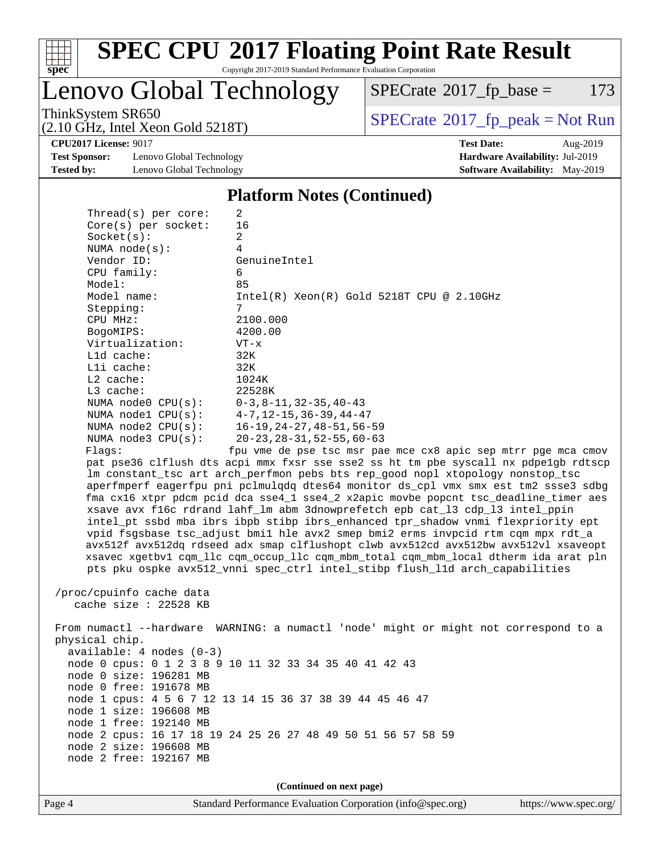

Lenovo Global Technology

 $SPECTate$ <sup>®</sup>[2017\\_fp\\_base =](http://www.spec.org/auto/cpu2017/Docs/result-fields.html#SPECrate2017fpbase) 173

(2.10 GHz, Intel Xeon Gold 5218T)

ThinkSystem SR650<br>  $(2.10 \text{ GHz}_{\text{total}} \text{ York})$  Spectrate®[2017\\_fp\\_peak = N](http://www.spec.org/auto/cpu2017/Docs/result-fields.html#SPECrate2017fppeak)ot Run

**[CPU2017 License:](http://www.spec.org/auto/cpu2017/Docs/result-fields.html#CPU2017License)** 9017 **[Test Date:](http://www.spec.org/auto/cpu2017/Docs/result-fields.html#TestDate)** Aug-2019

**[Test Sponsor:](http://www.spec.org/auto/cpu2017/Docs/result-fields.html#TestSponsor)** Lenovo Global Technology **[Hardware Availability:](http://www.spec.org/auto/cpu2017/Docs/result-fields.html#HardwareAvailability)** Jul-2019 **[Tested by:](http://www.spec.org/auto/cpu2017/Docs/result-fields.html#Testedby)** Lenovo Global Technology **[Software Availability:](http://www.spec.org/auto/cpu2017/Docs/result-fields.html#SoftwareAvailability)** May-2019

**[Platform Notes \(Continued\)](http://www.spec.org/auto/cpu2017/Docs/result-fields.html#PlatformNotes)**

| Thread( $s$ ) per core:                      | 2                                                                                    |
|----------------------------------------------|--------------------------------------------------------------------------------------|
| $Core(s)$ per socket:                        | 16                                                                                   |
| Socket(s):                                   | 2                                                                                    |
| NUMA $node(s):$                              | 4                                                                                    |
| Vendor ID:                                   | GenuineIntel                                                                         |
| CPU family:                                  | 6                                                                                    |
| Model:                                       | 85                                                                                   |
| Model name:                                  | $Intel(R)$ Xeon $(R)$ Gold 5218T CPU @ 2.10GHz                                       |
| Stepping:                                    | 7                                                                                    |
| CPU MHz:                                     | 2100.000                                                                             |
| BogoMIPS:                                    | 4200.00                                                                              |
| Virtualization:                              | $VT - x$                                                                             |
| L1d cache:                                   | 32K                                                                                  |
| Lli cache:                                   | 32K                                                                                  |
| $L2$ cache:                                  | 1024K                                                                                |
| $L3$ cache:                                  | 22528K                                                                               |
| NUMA node0 CPU(s): 0-3,8-11,32-35,40-43      |                                                                                      |
| NUMA nodel $CPU(s):$ $4-7.12-15.36-39.44-47$ |                                                                                      |
|                                              | NUMA node2 CPU(s): 16-19, 24-27, 48-51, 56-59                                        |
| NUMA $node3$ $CPU(s):$                       | 20-23,28-31,52-55,60-63                                                              |
| Flaqs:                                       | fpu vme de pse tsc msr pae mce cx8 apic sep mtrr pqe mca cmov                        |
|                                              | pat pse36 clflush dts acpi mmx fxsr sse sse2 ss ht tm pbe syscall nx pdpelgb rdtscp  |
|                                              | Im constant_tsc art arch_perfmon pebs bts rep_good nopl xtopology nonstop_tsc        |
|                                              | aperfmperf eagerfpu pni pclmulqdq dtes64 monitor ds_cpl vmx smx est tm2 ssse3 sdbg   |
|                                              | fma cx16 xtpr pdcm pcid dca sse4_1 sse4_2 x2apic movbe popcnt tsc_deadline_timer aes |
|                                              | xsave avx f16c rdrand lahf_lm abm 3dnowprefetch epb cat_13 cdp_13 intel_ppin         |
|                                              | intel_pt ssbd mba ibrs ibpb stibp ibrs_enhanced tpr_shadow vnmi flexpriority ept     |
|                                              | $m/d$ facebook too adjust buil ble aw? gman bui? arms inimaid rtm agm may rdt a      |

 vpid fsgsbase tsc\_adjust bmi1 hle avx2 smep bmi2 erms invpcid rtm cqm mpx rdt\_a avx512f avx512dq rdseed adx smap clflushopt clwb avx512cd avx512bw avx512vl xsaveopt xsavec xgetbv1 cqm\_llc cqm\_occup\_llc cqm\_mbm\_total cqm\_mbm\_local dtherm ida arat pln pts pku ospke avx512\_vnni spec\_ctrl intel\_stibp flush\_l1d arch\_capabilities

```
 /proc/cpuinfo cache data
   cache size : 22528 KB
```
 From numactl --hardware WARNING: a numactl 'node' might or might not correspond to a physical chip. available: 4 nodes (0-3) node 0 cpus: 0 1 2 3 8 9 10 11 32 33 34 35 40 41 42 43 node 0 size: 196281 MB node 0 free: 191678 MB node 1 cpus: 4 5 6 7 12 13 14 15 36 37 38 39 44 45 46 47 node 1 size: 196608 MB node 1 free: 192140 MB node 2 cpus: 16 17 18 19 24 25 26 27 48 49 50 51 56 57 58 59 node 2 size: 196608 MB node 2 free: 192167 MB

**(Continued on next page)**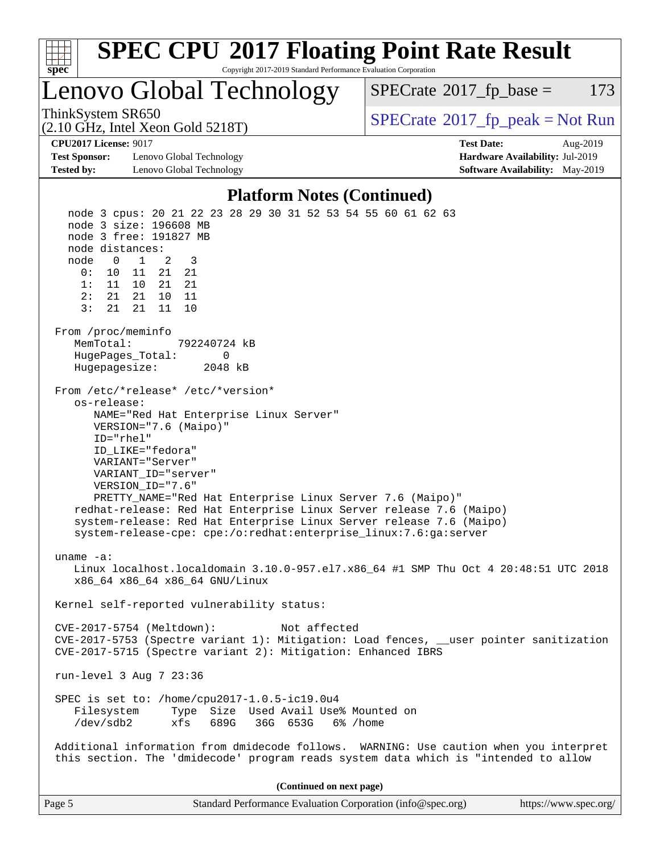

| Page 5 | Standard Performance Evaluation Corporation (info@spec.org) | https://www.spec.org/ |
|--------|-------------------------------------------------------------|-----------------------|
|--------|-------------------------------------------------------------|-----------------------|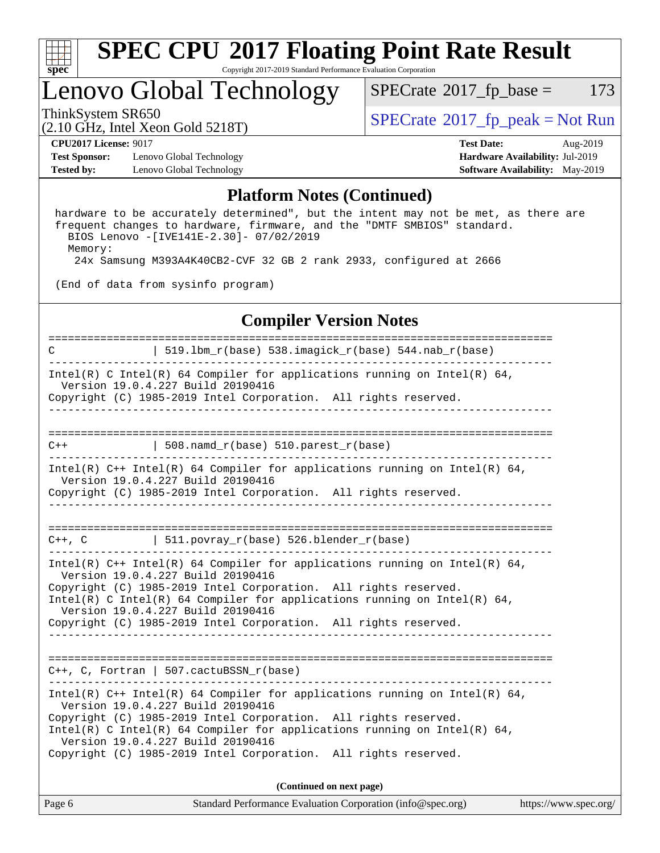

## Lenovo Global Technology

 $SPECTate@2017_fp\_base = 173$ 

# (2.10 GHz, Intel Xeon Gold 5218T)

ThinkSystem SR650<br>  $\begin{array}{c}\n\text{SPECrate} \textcirc 2017\_fp\_peak = Not Run \\
\text{SPECrate} \textcirc 2017\_fp\_peak = Not Run\n\end{array}$  $\begin{array}{c}\n\text{SPECrate} \textcirc 2017\_fp\_peak = Not Run \\
\text{SPECrate} \textcirc 2017\_fp\_peak = Not Run\n\end{array}$  $\begin{array}{c}\n\text{SPECrate} \textcirc 2017\_fp\_peak = Not Run \\
\text{SPECrate} \textcirc 2017\_fp\_peak = Not Run\n\end{array}$ 

**[Test Sponsor:](http://www.spec.org/auto/cpu2017/Docs/result-fields.html#TestSponsor)** Lenovo Global Technology **[Hardware Availability:](http://www.spec.org/auto/cpu2017/Docs/result-fields.html#HardwareAvailability)** Jul-2019 **[Tested by:](http://www.spec.org/auto/cpu2017/Docs/result-fields.html#Testedby)** Lenovo Global Technology **[Software Availability:](http://www.spec.org/auto/cpu2017/Docs/result-fields.html#SoftwareAvailability)** May-2019

**[CPU2017 License:](http://www.spec.org/auto/cpu2017/Docs/result-fields.html#CPU2017License)** 9017 **[Test Date:](http://www.spec.org/auto/cpu2017/Docs/result-fields.html#TestDate)** Aug-2019

## **[Platform Notes \(Continued\)](http://www.spec.org/auto/cpu2017/Docs/result-fields.html#PlatformNotes)**

 hardware to be accurately determined", but the intent may not be met, as there are frequent changes to hardware, firmware, and the "DMTF SMBIOS" standard. BIOS Lenovo -[IVE141E-2.30]- 07/02/2019 Memory: 24x Samsung M393A4K40CB2-CVF 32 GB 2 rank 2933, configured at 2666

(End of data from sysinfo program)

## **[Compiler Version Notes](http://www.spec.org/auto/cpu2017/Docs/result-fields.html#CompilerVersionNotes)**

| $\mathbf C$ | $519.1bm_r(base) 538.imagick_r(base) 544.nab_r(base)$                                                                                                                                                        |                                                                                                                                                          |                       |
|-------------|--------------------------------------------------------------------------------------------------------------------------------------------------------------------------------------------------------------|----------------------------------------------------------------------------------------------------------------------------------------------------------|-----------------------|
|             | Version 19.0.4.227 Build 20190416<br>Copyright (C) 1985-2019 Intel Corporation. All rights reserved.                                                                                                         | Intel(R) C Intel(R) 64 Compiler for applications running on Intel(R) 64,                                                                                 |                       |
|             |                                                                                                                                                                                                              |                                                                                                                                                          |                       |
| $C++$       | $\vert$ 508.namd_r(base) 510.parest_r(base)                                                                                                                                                                  |                                                                                                                                                          |                       |
|             | Version 19.0.4.227 Build 20190416<br>Copyright (C) 1985-2019 Intel Corporation. All rights reserved.                                                                                                         | Intel(R) $C++$ Intel(R) 64 Compiler for applications running on Intel(R) 64,                                                                             |                       |
|             | $C++$ , C $\qquad \qquad$ 511.povray_r(base) 526.blender_r(base)                                                                                                                                             |                                                                                                                                                          |                       |
|             | Version 19.0.4.227 Build 20190416<br>Copyright (C) 1985-2019 Intel Corporation. All rights reserved.<br>Version 19.0.4.227 Build 20190416<br>Copyright (C) 1985-2019 Intel Corporation. All rights reserved. | Intel(R) $C++$ Intel(R) 64 Compiler for applications running on Intel(R) 64,<br>Intel(R) C Intel(R) 64 Compiler for applications running on Intel(R) 64, |                       |
|             | $C++$ , C, Fortran   507.cactuBSSN_r(base)                                                                                                                                                                   |                                                                                                                                                          |                       |
|             | Version 19.0.4.227 Build 20190416<br>Copyright (C) 1985-2019 Intel Corporation. All rights reserved.<br>Version 19.0.4.227 Build 20190416<br>Copyright (C) 1985-2019 Intel Corporation. All rights reserved. | Intel(R) $C++$ Intel(R) 64 Compiler for applications running on Intel(R) 64,<br>Intel(R) C Intel(R) 64 Compiler for applications running on Intel(R) 64, |                       |
|             |                                                                                                                                                                                                              | (Continued on next page)                                                                                                                                 |                       |
| Page 6      |                                                                                                                                                                                                              | Standard Performance Evaluation Corporation (info@spec.org)                                                                                              | https://www.spec.org/ |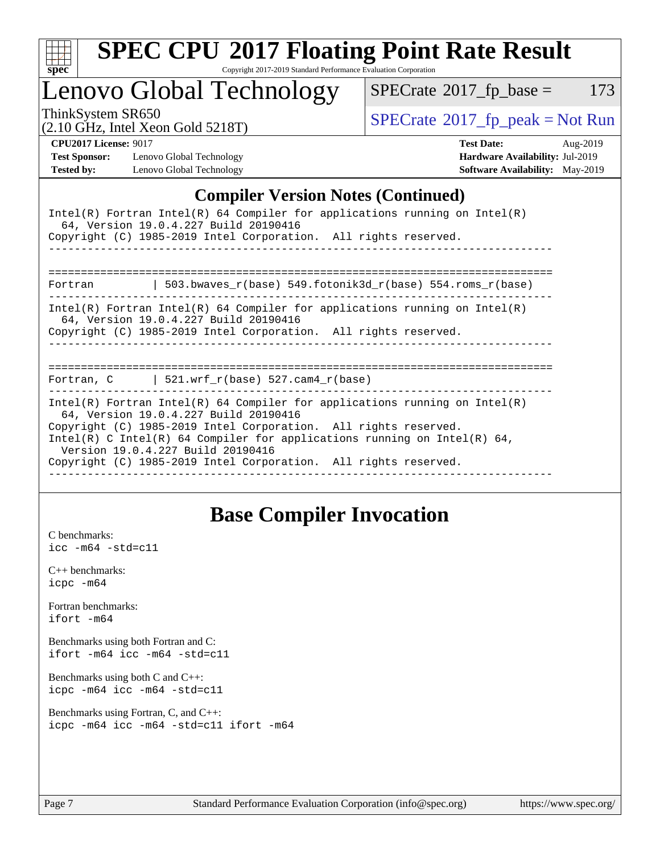

# **[SPEC CPU](http://www.spec.org/auto/cpu2017/Docs/result-fields.html#SPECCPU2017FloatingPointRateResult)[2017 Floating Point Rate Result](http://www.spec.org/auto/cpu2017/Docs/result-fields.html#SPECCPU2017FloatingPointRateResult)**

Copyright 2017-2019 Standard Performance Evaluation Corporation

Lenovo Global Technology

 $SPECTate@2017_fp\_base = 173$ 

(2.10 GHz, Intel Xeon Gold 5218T)

ThinkSystem SR650<br>  $(2.10 \text{ GHz}_{\text{total}} \text{ York})$  Spectrate®[2017\\_fp\\_peak = N](http://www.spec.org/auto/cpu2017/Docs/result-fields.html#SPECrate2017fppeak)ot Run

**[Test Sponsor:](http://www.spec.org/auto/cpu2017/Docs/result-fields.html#TestSponsor)** Lenovo Global Technology **[Hardware Availability:](http://www.spec.org/auto/cpu2017/Docs/result-fields.html#HardwareAvailability)** Jul-2019 **[Tested by:](http://www.spec.org/auto/cpu2017/Docs/result-fields.html#Testedby)** Lenovo Global Technology **[Software Availability:](http://www.spec.org/auto/cpu2017/Docs/result-fields.html#SoftwareAvailability)** May-2019

**[CPU2017 License:](http://www.spec.org/auto/cpu2017/Docs/result-fields.html#CPU2017License)** 9017 **[Test Date:](http://www.spec.org/auto/cpu2017/Docs/result-fields.html#TestDate)** Aug-2019

## **[Compiler Version Notes \(Continued\)](http://www.spec.org/auto/cpu2017/Docs/result-fields.html#CompilerVersionNotes)**

|         | Intel(R) Fortran Intel(R) 64 Compiler for applications running on Intel(R)<br>64, Version 19.0.4.227 Build 20190416<br>Copyright (C) 1985-2019 Intel Corporation. All rights reserved.                                                                                                                                                                                     |
|---------|----------------------------------------------------------------------------------------------------------------------------------------------------------------------------------------------------------------------------------------------------------------------------------------------------------------------------------------------------------------------------|
| Fortran | 503.bwaves_r(base) 549.fotonik3d_r(base) 554.roms_r(base)                                                                                                                                                                                                                                                                                                                  |
|         | $Intel(R)$ Fortran Intel(R) 64 Compiler for applications running on Intel(R)<br>64, Version 19.0.4.227 Build 20190416<br>Copyright (C) 1985-2019 Intel Corporation. All rights reserved.<br>-------------------------------------                                                                                                                                          |
|         | ============<br>=======================<br>Fortran, $C$   521.wrf_r(base) 527.cam4_r(base)                                                                                                                                                                                                                                                                                 |
|         | Intel(R) Fortran Intel(R) 64 Compiler for applications running on Intel(R)<br>64, Version 19.0.4.227 Build 20190416<br>Copyright (C) 1985-2019 Intel Corporation. All rights reserved.<br>Intel(R) C Intel(R) 64 Compiler for applications running on Intel(R) 64,<br>Version 19.0.4.227 Build 20190416<br>Copyright (C) 1985-2019 Intel Corporation. All rights reserved. |

## **[Base Compiler Invocation](http://www.spec.org/auto/cpu2017/Docs/result-fields.html#BaseCompilerInvocation)**

[C benchmarks](http://www.spec.org/auto/cpu2017/Docs/result-fields.html#Cbenchmarks): [icc -m64 -std=c11](http://www.spec.org/cpu2017/results/res2019q3/cpu2017-20190902-17401.flags.html#user_CCbase_intel_icc_64bit_c11_33ee0cdaae7deeeab2a9725423ba97205ce30f63b9926c2519791662299b76a0318f32ddfffdc46587804de3178b4f9328c46fa7c2b0cd779d7a61945c91cd35)

[C++ benchmarks:](http://www.spec.org/auto/cpu2017/Docs/result-fields.html#CXXbenchmarks) [icpc -m64](http://www.spec.org/cpu2017/results/res2019q3/cpu2017-20190902-17401.flags.html#user_CXXbase_intel_icpc_64bit_4ecb2543ae3f1412ef961e0650ca070fec7b7afdcd6ed48761b84423119d1bf6bdf5cad15b44d48e7256388bc77273b966e5eb805aefd121eb22e9299b2ec9d9)

[Fortran benchmarks](http://www.spec.org/auto/cpu2017/Docs/result-fields.html#Fortranbenchmarks): [ifort -m64](http://www.spec.org/cpu2017/results/res2019q3/cpu2017-20190902-17401.flags.html#user_FCbase_intel_ifort_64bit_24f2bb282fbaeffd6157abe4f878425411749daecae9a33200eee2bee2fe76f3b89351d69a8130dd5949958ce389cf37ff59a95e7a40d588e8d3a57e0c3fd751)

[Benchmarks using both Fortran and C](http://www.spec.org/auto/cpu2017/Docs/result-fields.html#BenchmarksusingbothFortranandC): [ifort -m64](http://www.spec.org/cpu2017/results/res2019q3/cpu2017-20190902-17401.flags.html#user_CC_FCbase_intel_ifort_64bit_24f2bb282fbaeffd6157abe4f878425411749daecae9a33200eee2bee2fe76f3b89351d69a8130dd5949958ce389cf37ff59a95e7a40d588e8d3a57e0c3fd751) [icc -m64 -std=c11](http://www.spec.org/cpu2017/results/res2019q3/cpu2017-20190902-17401.flags.html#user_CC_FCbase_intel_icc_64bit_c11_33ee0cdaae7deeeab2a9725423ba97205ce30f63b9926c2519791662299b76a0318f32ddfffdc46587804de3178b4f9328c46fa7c2b0cd779d7a61945c91cd35)

[Benchmarks using both C and C++](http://www.spec.org/auto/cpu2017/Docs/result-fields.html#BenchmarksusingbothCandCXX): [icpc -m64](http://www.spec.org/cpu2017/results/res2019q3/cpu2017-20190902-17401.flags.html#user_CC_CXXbase_intel_icpc_64bit_4ecb2543ae3f1412ef961e0650ca070fec7b7afdcd6ed48761b84423119d1bf6bdf5cad15b44d48e7256388bc77273b966e5eb805aefd121eb22e9299b2ec9d9) [icc -m64 -std=c11](http://www.spec.org/cpu2017/results/res2019q3/cpu2017-20190902-17401.flags.html#user_CC_CXXbase_intel_icc_64bit_c11_33ee0cdaae7deeeab2a9725423ba97205ce30f63b9926c2519791662299b76a0318f32ddfffdc46587804de3178b4f9328c46fa7c2b0cd779d7a61945c91cd35)

[Benchmarks using Fortran, C, and C++:](http://www.spec.org/auto/cpu2017/Docs/result-fields.html#BenchmarksusingFortranCandCXX) [icpc -m64](http://www.spec.org/cpu2017/results/res2019q3/cpu2017-20190902-17401.flags.html#user_CC_CXX_FCbase_intel_icpc_64bit_4ecb2543ae3f1412ef961e0650ca070fec7b7afdcd6ed48761b84423119d1bf6bdf5cad15b44d48e7256388bc77273b966e5eb805aefd121eb22e9299b2ec9d9) [icc -m64 -std=c11](http://www.spec.org/cpu2017/results/res2019q3/cpu2017-20190902-17401.flags.html#user_CC_CXX_FCbase_intel_icc_64bit_c11_33ee0cdaae7deeeab2a9725423ba97205ce30f63b9926c2519791662299b76a0318f32ddfffdc46587804de3178b4f9328c46fa7c2b0cd779d7a61945c91cd35) [ifort -m64](http://www.spec.org/cpu2017/results/res2019q3/cpu2017-20190902-17401.flags.html#user_CC_CXX_FCbase_intel_ifort_64bit_24f2bb282fbaeffd6157abe4f878425411749daecae9a33200eee2bee2fe76f3b89351d69a8130dd5949958ce389cf37ff59a95e7a40d588e8d3a57e0c3fd751)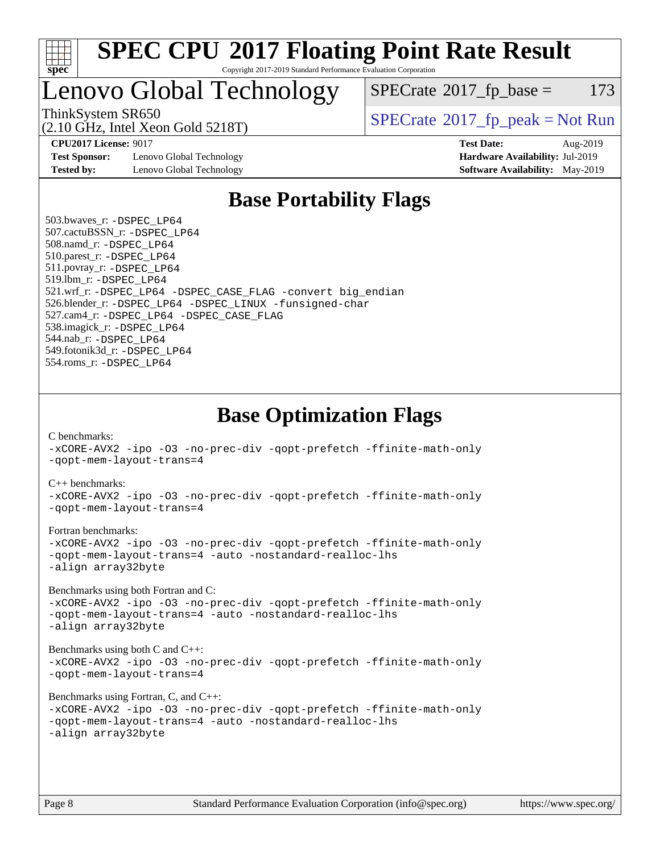

Lenovo Global Technology

 $SPECTate$ <sup>®</sup>[2017\\_fp\\_base =](http://www.spec.org/auto/cpu2017/Docs/result-fields.html#SPECrate2017fpbase) 173

(2.10 GHz, Intel Xeon Gold 5218T)

ThinkSystem SR650<br>  $SPECrate^{\circ}2017$  $SPECrate^{\circ}2017$  fp\_peak = Not Run

**[Test Sponsor:](http://www.spec.org/auto/cpu2017/Docs/result-fields.html#TestSponsor)** Lenovo Global Technology **[Hardware Availability:](http://www.spec.org/auto/cpu2017/Docs/result-fields.html#HardwareAvailability)** Jul-2019 **[Tested by:](http://www.spec.org/auto/cpu2017/Docs/result-fields.html#Testedby)** Lenovo Global Technology **[Software Availability:](http://www.spec.org/auto/cpu2017/Docs/result-fields.html#SoftwareAvailability)** May-2019

**[CPU2017 License:](http://www.spec.org/auto/cpu2017/Docs/result-fields.html#CPU2017License)** 9017 **[Test Date:](http://www.spec.org/auto/cpu2017/Docs/result-fields.html#TestDate)** Aug-2019

## **[Base Portability Flags](http://www.spec.org/auto/cpu2017/Docs/result-fields.html#BasePortabilityFlags)**

 503.bwaves\_r: [-DSPEC\\_LP64](http://www.spec.org/cpu2017/results/res2019q3/cpu2017-20190902-17401.flags.html#suite_basePORTABILITY503_bwaves_r_DSPEC_LP64) 507.cactuBSSN\_r: [-DSPEC\\_LP64](http://www.spec.org/cpu2017/results/res2019q3/cpu2017-20190902-17401.flags.html#suite_basePORTABILITY507_cactuBSSN_r_DSPEC_LP64) 508.namd\_r: [-DSPEC\\_LP64](http://www.spec.org/cpu2017/results/res2019q3/cpu2017-20190902-17401.flags.html#suite_basePORTABILITY508_namd_r_DSPEC_LP64) 510.parest\_r: [-DSPEC\\_LP64](http://www.spec.org/cpu2017/results/res2019q3/cpu2017-20190902-17401.flags.html#suite_basePORTABILITY510_parest_r_DSPEC_LP64) 511.povray\_r: [-DSPEC\\_LP64](http://www.spec.org/cpu2017/results/res2019q3/cpu2017-20190902-17401.flags.html#suite_basePORTABILITY511_povray_r_DSPEC_LP64) 519.lbm\_r: [-DSPEC\\_LP64](http://www.spec.org/cpu2017/results/res2019q3/cpu2017-20190902-17401.flags.html#suite_basePORTABILITY519_lbm_r_DSPEC_LP64) 521.wrf\_r: [-DSPEC\\_LP64](http://www.spec.org/cpu2017/results/res2019q3/cpu2017-20190902-17401.flags.html#suite_basePORTABILITY521_wrf_r_DSPEC_LP64) [-DSPEC\\_CASE\\_FLAG](http://www.spec.org/cpu2017/results/res2019q3/cpu2017-20190902-17401.flags.html#b521.wrf_r_baseCPORTABILITY_DSPEC_CASE_FLAG) [-convert big\\_endian](http://www.spec.org/cpu2017/results/res2019q3/cpu2017-20190902-17401.flags.html#user_baseFPORTABILITY521_wrf_r_convert_big_endian_c3194028bc08c63ac5d04de18c48ce6d347e4e562e8892b8bdbdc0214820426deb8554edfa529a3fb25a586e65a3d812c835984020483e7e73212c4d31a38223) 526.blender\_r: [-DSPEC\\_LP64](http://www.spec.org/cpu2017/results/res2019q3/cpu2017-20190902-17401.flags.html#suite_basePORTABILITY526_blender_r_DSPEC_LP64) [-DSPEC\\_LINUX](http://www.spec.org/cpu2017/results/res2019q3/cpu2017-20190902-17401.flags.html#b526.blender_r_baseCPORTABILITY_DSPEC_LINUX) [-funsigned-char](http://www.spec.org/cpu2017/results/res2019q3/cpu2017-20190902-17401.flags.html#user_baseCPORTABILITY526_blender_r_force_uchar_40c60f00ab013830e2dd6774aeded3ff59883ba5a1fc5fc14077f794d777847726e2a5858cbc7672e36e1b067e7e5c1d9a74f7176df07886a243d7cc18edfe67) 527.cam4\_r: [-DSPEC\\_LP64](http://www.spec.org/cpu2017/results/res2019q3/cpu2017-20190902-17401.flags.html#suite_basePORTABILITY527_cam4_r_DSPEC_LP64) [-DSPEC\\_CASE\\_FLAG](http://www.spec.org/cpu2017/results/res2019q3/cpu2017-20190902-17401.flags.html#b527.cam4_r_baseCPORTABILITY_DSPEC_CASE_FLAG) 538.imagick\_r: [-DSPEC\\_LP64](http://www.spec.org/cpu2017/results/res2019q3/cpu2017-20190902-17401.flags.html#suite_basePORTABILITY538_imagick_r_DSPEC_LP64) 544.nab\_r: [-DSPEC\\_LP64](http://www.spec.org/cpu2017/results/res2019q3/cpu2017-20190902-17401.flags.html#suite_basePORTABILITY544_nab_r_DSPEC_LP64) 549.fotonik3d\_r: [-DSPEC\\_LP64](http://www.spec.org/cpu2017/results/res2019q3/cpu2017-20190902-17401.flags.html#suite_basePORTABILITY549_fotonik3d_r_DSPEC_LP64) 554.roms\_r: [-DSPEC\\_LP64](http://www.spec.org/cpu2017/results/res2019q3/cpu2017-20190902-17401.flags.html#suite_basePORTABILITY554_roms_r_DSPEC_LP64)

**[Base Optimization Flags](http://www.spec.org/auto/cpu2017/Docs/result-fields.html#BaseOptimizationFlags)**

[C benchmarks](http://www.spec.org/auto/cpu2017/Docs/result-fields.html#Cbenchmarks):

[-xCORE-AVX2](http://www.spec.org/cpu2017/results/res2019q3/cpu2017-20190902-17401.flags.html#user_CCbase_f-xCORE-AVX2) [-ipo](http://www.spec.org/cpu2017/results/res2019q3/cpu2017-20190902-17401.flags.html#user_CCbase_f-ipo) [-O3](http://www.spec.org/cpu2017/results/res2019q3/cpu2017-20190902-17401.flags.html#user_CCbase_f-O3) [-no-prec-div](http://www.spec.org/cpu2017/results/res2019q3/cpu2017-20190902-17401.flags.html#user_CCbase_f-no-prec-div) [-qopt-prefetch](http://www.spec.org/cpu2017/results/res2019q3/cpu2017-20190902-17401.flags.html#user_CCbase_f-qopt-prefetch) [-ffinite-math-only](http://www.spec.org/cpu2017/results/res2019q3/cpu2017-20190902-17401.flags.html#user_CCbase_f_finite_math_only_cb91587bd2077682c4b38af759c288ed7c732db004271a9512da14a4f8007909a5f1427ecbf1a0fb78ff2a814402c6114ac565ca162485bbcae155b5e4258871) [-qopt-mem-layout-trans=4](http://www.spec.org/cpu2017/results/res2019q3/cpu2017-20190902-17401.flags.html#user_CCbase_f-qopt-mem-layout-trans_fa39e755916c150a61361b7846f310bcdf6f04e385ef281cadf3647acec3f0ae266d1a1d22d972a7087a248fd4e6ca390a3634700869573d231a252c784941a8) [C++ benchmarks:](http://www.spec.org/auto/cpu2017/Docs/result-fields.html#CXXbenchmarks) [-xCORE-AVX2](http://www.spec.org/cpu2017/results/res2019q3/cpu2017-20190902-17401.flags.html#user_CXXbase_f-xCORE-AVX2) [-ipo](http://www.spec.org/cpu2017/results/res2019q3/cpu2017-20190902-17401.flags.html#user_CXXbase_f-ipo) [-O3](http://www.spec.org/cpu2017/results/res2019q3/cpu2017-20190902-17401.flags.html#user_CXXbase_f-O3) [-no-prec-div](http://www.spec.org/cpu2017/results/res2019q3/cpu2017-20190902-17401.flags.html#user_CXXbase_f-no-prec-div) [-qopt-prefetch](http://www.spec.org/cpu2017/results/res2019q3/cpu2017-20190902-17401.flags.html#user_CXXbase_f-qopt-prefetch) [-ffinite-math-only](http://www.spec.org/cpu2017/results/res2019q3/cpu2017-20190902-17401.flags.html#user_CXXbase_f_finite_math_only_cb91587bd2077682c4b38af759c288ed7c732db004271a9512da14a4f8007909a5f1427ecbf1a0fb78ff2a814402c6114ac565ca162485bbcae155b5e4258871) [-qopt-mem-layout-trans=4](http://www.spec.org/cpu2017/results/res2019q3/cpu2017-20190902-17401.flags.html#user_CXXbase_f-qopt-mem-layout-trans_fa39e755916c150a61361b7846f310bcdf6f04e385ef281cadf3647acec3f0ae266d1a1d22d972a7087a248fd4e6ca390a3634700869573d231a252c784941a8) [Fortran benchmarks](http://www.spec.org/auto/cpu2017/Docs/result-fields.html#Fortranbenchmarks): [-xCORE-AVX2](http://www.spec.org/cpu2017/results/res2019q3/cpu2017-20190902-17401.flags.html#user_FCbase_f-xCORE-AVX2) [-ipo](http://www.spec.org/cpu2017/results/res2019q3/cpu2017-20190902-17401.flags.html#user_FCbase_f-ipo) [-O3](http://www.spec.org/cpu2017/results/res2019q3/cpu2017-20190902-17401.flags.html#user_FCbase_f-O3) [-no-prec-div](http://www.spec.org/cpu2017/results/res2019q3/cpu2017-20190902-17401.flags.html#user_FCbase_f-no-prec-div) [-qopt-prefetch](http://www.spec.org/cpu2017/results/res2019q3/cpu2017-20190902-17401.flags.html#user_FCbase_f-qopt-prefetch) [-ffinite-math-only](http://www.spec.org/cpu2017/results/res2019q3/cpu2017-20190902-17401.flags.html#user_FCbase_f_finite_math_only_cb91587bd2077682c4b38af759c288ed7c732db004271a9512da14a4f8007909a5f1427ecbf1a0fb78ff2a814402c6114ac565ca162485bbcae155b5e4258871) [-qopt-mem-layout-trans=4](http://www.spec.org/cpu2017/results/res2019q3/cpu2017-20190902-17401.flags.html#user_FCbase_f-qopt-mem-layout-trans_fa39e755916c150a61361b7846f310bcdf6f04e385ef281cadf3647acec3f0ae266d1a1d22d972a7087a248fd4e6ca390a3634700869573d231a252c784941a8) [-auto](http://www.spec.org/cpu2017/results/res2019q3/cpu2017-20190902-17401.flags.html#user_FCbase_f-auto) [-nostandard-realloc-lhs](http://www.spec.org/cpu2017/results/res2019q3/cpu2017-20190902-17401.flags.html#user_FCbase_f_2003_std_realloc_82b4557e90729c0f113870c07e44d33d6f5a304b4f63d4c15d2d0f1fab99f5daaed73bdb9275d9ae411527f28b936061aa8b9c8f2d63842963b95c9dd6426b8a) [-align array32byte](http://www.spec.org/cpu2017/results/res2019q3/cpu2017-20190902-17401.flags.html#user_FCbase_align_array32byte_b982fe038af199962ba9a80c053b8342c548c85b40b8e86eb3cc33dee0d7986a4af373ac2d51c3f7cf710a18d62fdce2948f201cd044323541f22fc0fffc51b6) [Benchmarks using both Fortran and C](http://www.spec.org/auto/cpu2017/Docs/result-fields.html#BenchmarksusingbothFortranandC): [-xCORE-AVX2](http://www.spec.org/cpu2017/results/res2019q3/cpu2017-20190902-17401.flags.html#user_CC_FCbase_f-xCORE-AVX2) [-ipo](http://www.spec.org/cpu2017/results/res2019q3/cpu2017-20190902-17401.flags.html#user_CC_FCbase_f-ipo) [-O3](http://www.spec.org/cpu2017/results/res2019q3/cpu2017-20190902-17401.flags.html#user_CC_FCbase_f-O3) [-no-prec-div](http://www.spec.org/cpu2017/results/res2019q3/cpu2017-20190902-17401.flags.html#user_CC_FCbase_f-no-prec-div) [-qopt-prefetch](http://www.spec.org/cpu2017/results/res2019q3/cpu2017-20190902-17401.flags.html#user_CC_FCbase_f-qopt-prefetch) [-ffinite-math-only](http://www.spec.org/cpu2017/results/res2019q3/cpu2017-20190902-17401.flags.html#user_CC_FCbase_f_finite_math_only_cb91587bd2077682c4b38af759c288ed7c732db004271a9512da14a4f8007909a5f1427ecbf1a0fb78ff2a814402c6114ac565ca162485bbcae155b5e4258871) [-qopt-mem-layout-trans=4](http://www.spec.org/cpu2017/results/res2019q3/cpu2017-20190902-17401.flags.html#user_CC_FCbase_f-qopt-mem-layout-trans_fa39e755916c150a61361b7846f310bcdf6f04e385ef281cadf3647acec3f0ae266d1a1d22d972a7087a248fd4e6ca390a3634700869573d231a252c784941a8) [-auto](http://www.spec.org/cpu2017/results/res2019q3/cpu2017-20190902-17401.flags.html#user_CC_FCbase_f-auto) [-nostandard-realloc-lhs](http://www.spec.org/cpu2017/results/res2019q3/cpu2017-20190902-17401.flags.html#user_CC_FCbase_f_2003_std_realloc_82b4557e90729c0f113870c07e44d33d6f5a304b4f63d4c15d2d0f1fab99f5daaed73bdb9275d9ae411527f28b936061aa8b9c8f2d63842963b95c9dd6426b8a) [-align array32byte](http://www.spec.org/cpu2017/results/res2019q3/cpu2017-20190902-17401.flags.html#user_CC_FCbase_align_array32byte_b982fe038af199962ba9a80c053b8342c548c85b40b8e86eb3cc33dee0d7986a4af373ac2d51c3f7cf710a18d62fdce2948f201cd044323541f22fc0fffc51b6) [Benchmarks using both C and C++](http://www.spec.org/auto/cpu2017/Docs/result-fields.html#BenchmarksusingbothCandCXX): [-xCORE-AVX2](http://www.spec.org/cpu2017/results/res2019q3/cpu2017-20190902-17401.flags.html#user_CC_CXXbase_f-xCORE-AVX2) [-ipo](http://www.spec.org/cpu2017/results/res2019q3/cpu2017-20190902-17401.flags.html#user_CC_CXXbase_f-ipo) [-O3](http://www.spec.org/cpu2017/results/res2019q3/cpu2017-20190902-17401.flags.html#user_CC_CXXbase_f-O3) [-no-prec-div](http://www.spec.org/cpu2017/results/res2019q3/cpu2017-20190902-17401.flags.html#user_CC_CXXbase_f-no-prec-div) [-qopt-prefetch](http://www.spec.org/cpu2017/results/res2019q3/cpu2017-20190902-17401.flags.html#user_CC_CXXbase_f-qopt-prefetch) [-ffinite-math-only](http://www.spec.org/cpu2017/results/res2019q3/cpu2017-20190902-17401.flags.html#user_CC_CXXbase_f_finite_math_only_cb91587bd2077682c4b38af759c288ed7c732db004271a9512da14a4f8007909a5f1427ecbf1a0fb78ff2a814402c6114ac565ca162485bbcae155b5e4258871) [-qopt-mem-layout-trans=4](http://www.spec.org/cpu2017/results/res2019q3/cpu2017-20190902-17401.flags.html#user_CC_CXXbase_f-qopt-mem-layout-trans_fa39e755916c150a61361b7846f310bcdf6f04e385ef281cadf3647acec3f0ae266d1a1d22d972a7087a248fd4e6ca390a3634700869573d231a252c784941a8) [Benchmarks using Fortran, C, and C++:](http://www.spec.org/auto/cpu2017/Docs/result-fields.html#BenchmarksusingFortranCandCXX) [-xCORE-AVX2](http://www.spec.org/cpu2017/results/res2019q3/cpu2017-20190902-17401.flags.html#user_CC_CXX_FCbase_f-xCORE-AVX2) [-ipo](http://www.spec.org/cpu2017/results/res2019q3/cpu2017-20190902-17401.flags.html#user_CC_CXX_FCbase_f-ipo) [-O3](http://www.spec.org/cpu2017/results/res2019q3/cpu2017-20190902-17401.flags.html#user_CC_CXX_FCbase_f-O3) [-no-prec-div](http://www.spec.org/cpu2017/results/res2019q3/cpu2017-20190902-17401.flags.html#user_CC_CXX_FCbase_f-no-prec-div) [-qopt-prefetch](http://www.spec.org/cpu2017/results/res2019q3/cpu2017-20190902-17401.flags.html#user_CC_CXX_FCbase_f-qopt-prefetch) [-ffinite-math-only](http://www.spec.org/cpu2017/results/res2019q3/cpu2017-20190902-17401.flags.html#user_CC_CXX_FCbase_f_finite_math_only_cb91587bd2077682c4b38af759c288ed7c732db004271a9512da14a4f8007909a5f1427ecbf1a0fb78ff2a814402c6114ac565ca162485bbcae155b5e4258871) [-qopt-mem-layout-trans=4](http://www.spec.org/cpu2017/results/res2019q3/cpu2017-20190902-17401.flags.html#user_CC_CXX_FCbase_f-qopt-mem-layout-trans_fa39e755916c150a61361b7846f310bcdf6f04e385ef281cadf3647acec3f0ae266d1a1d22d972a7087a248fd4e6ca390a3634700869573d231a252c784941a8) [-auto](http://www.spec.org/cpu2017/results/res2019q3/cpu2017-20190902-17401.flags.html#user_CC_CXX_FCbase_f-auto) [-nostandard-realloc-lhs](http://www.spec.org/cpu2017/results/res2019q3/cpu2017-20190902-17401.flags.html#user_CC_CXX_FCbase_f_2003_std_realloc_82b4557e90729c0f113870c07e44d33d6f5a304b4f63d4c15d2d0f1fab99f5daaed73bdb9275d9ae411527f28b936061aa8b9c8f2d63842963b95c9dd6426b8a) [-align array32byte](http://www.spec.org/cpu2017/results/res2019q3/cpu2017-20190902-17401.flags.html#user_CC_CXX_FCbase_align_array32byte_b982fe038af199962ba9a80c053b8342c548c85b40b8e86eb3cc33dee0d7986a4af373ac2d51c3f7cf710a18d62fdce2948f201cd044323541f22fc0fffc51b6)